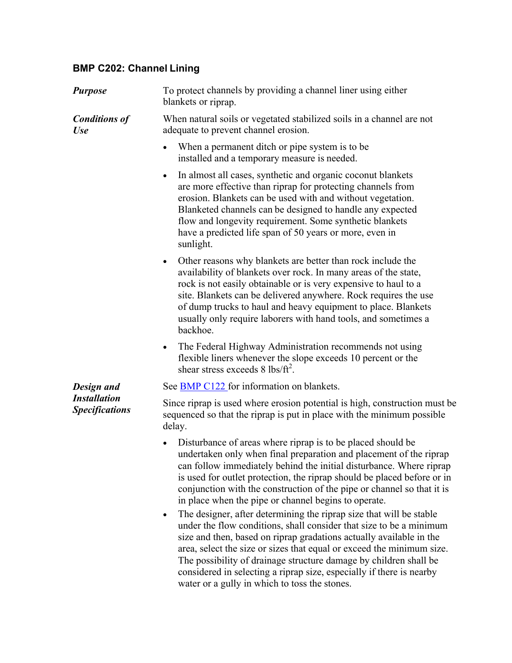## **BMP C202: Channel Lining**

| <b>Purpose</b>                                             | To protect channels by providing a channel liner using either<br>blankets or riprap.                                                                                                                                                                                                                                                                                                                                                    |
|------------------------------------------------------------|-----------------------------------------------------------------------------------------------------------------------------------------------------------------------------------------------------------------------------------------------------------------------------------------------------------------------------------------------------------------------------------------------------------------------------------------|
| <b>Conditions of</b><br><b>Use</b>                         | When natural soils or vegetated stabilized soils in a channel are not<br>adequate to prevent channel erosion.                                                                                                                                                                                                                                                                                                                           |
|                                                            | When a permanent ditch or pipe system is to be<br>$\bullet$<br>installed and a temporary measure is needed.                                                                                                                                                                                                                                                                                                                             |
|                                                            | In almost all cases, synthetic and organic coconut blankets<br>$\bullet$<br>are more effective than riprap for protecting channels from<br>erosion. Blankets can be used with and without vegetation.<br>Blanketed channels can be designed to handle any expected<br>flow and longevity requirement. Some synthetic blankets<br>have a predicted life span of 50 years or more, even in<br>sunlight.                                   |
|                                                            | Other reasons why blankets are better than rock include the<br>$\bullet$<br>availability of blankets over rock. In many areas of the state,<br>rock is not easily obtainable or is very expensive to haul to a<br>site. Blankets can be delivered anywhere. Rock requires the use<br>of dump trucks to haul and heavy equipment to place. Blankets<br>usually only require laborers with hand tools, and sometimes a<br>backhoe.        |
|                                                            | The Federal Highway Administration recommends not using<br>$\bullet$<br>flexible liners whenever the slope exceeds 10 percent or the<br>shear stress exceeds 8 lbs/ $ft^2$ .                                                                                                                                                                                                                                                            |
| Design and<br><b>Installation</b><br><b>Specifications</b> | See BMP C122 for information on blankets.                                                                                                                                                                                                                                                                                                                                                                                               |
|                                                            | Since riprap is used where erosion potential is high, construction must be<br>sequenced so that the riprap is put in place with the minimum possible<br>delay.                                                                                                                                                                                                                                                                          |
|                                                            | Disturbance of areas where riprap is to be placed should be<br>undertaken only when final preparation and placement of the riprap<br>can follow immediately behind the initial disturbance. Where riprap<br>is used for outlet protection, the riprap should be placed before or in<br>conjunction with the construction of the pipe or channel so that it is<br>in place when the pipe or channel begins to operate.                   |
|                                                            | The designer, after determining the riprap size that will be stable<br>under the flow conditions, shall consider that size to be a minimum<br>size and then, based on riprap gradations actually available in the<br>area, select the size or sizes that equal or exceed the minimum size.<br>The possibility of drainage structure damage by children shall be<br>considered in selecting a riprap size, especially if there is nearby |

water or a gully in which to toss the stones.